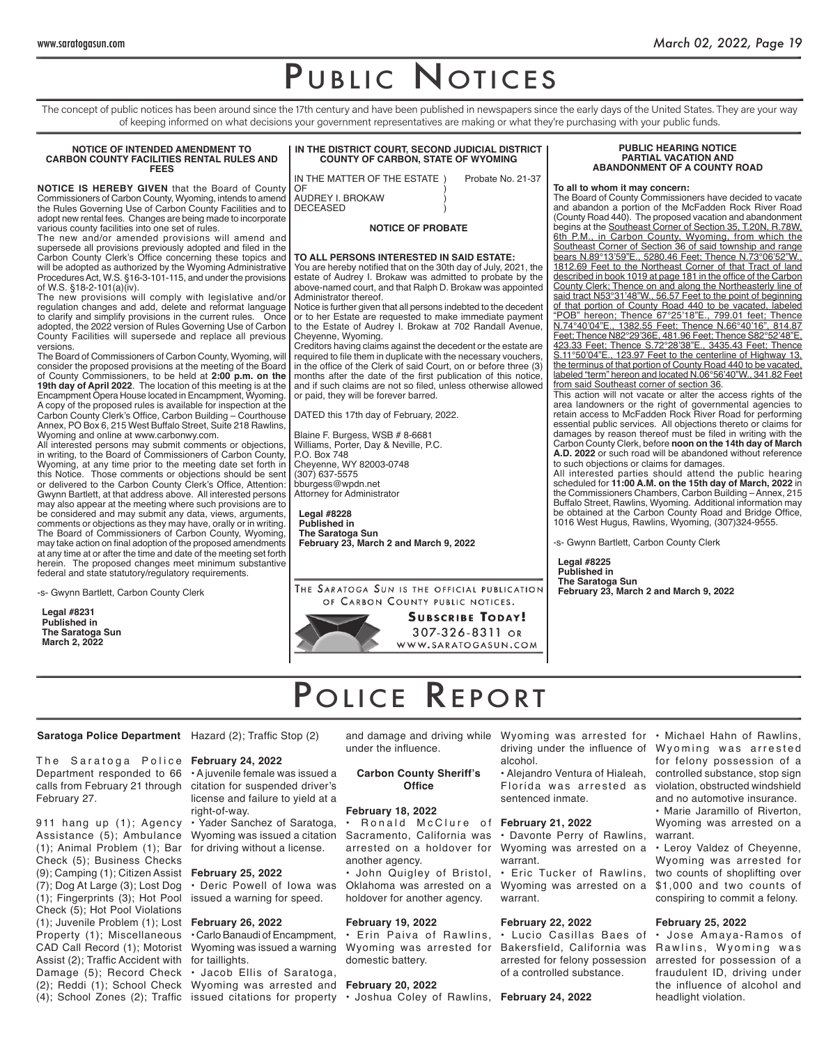## PUBLIC NOTICES

The concept of public notices has been around since the 17th century and have been published in newspapers since the early days of the United States. They are your way of keeping informed on what decisions your government representatives are making or what they're purchasing with your public funds.

### **NOTICE OF INTENDED AMENDMENT TO CARBON COUNTY FACILITIES RENTAL RULES AND FEES**

**NOTICE IS HEREBY GIVEN** that the Board of County Commissioners of Carbon County, Wyoming, intends to amend the Rules Governing Use of Carbon County Facilities and to adopt new rental fees. Changes are being made to incorporate various county facilities into one set of rules.

The new and/or amended provisions will amend and supersede all provisions previously adopted and filed in the Carbon County Clerk's Office concerning these topics and will be adopted as authorized by the Wyoming Administrative Procedures Act, W.S. §16-3-101-115, and under the provisions of W.S. §18-2-101(a)(iv).

The new provisions will comply with legislative and/or regulation changes and add, delete and reformat language to clarify and simplify provisions in the current rules. Once adopted, the 2022 version of Rules Governing Use of Carbon County Facilities will supersede and replace all previous versions.

The Board of Commissioners of Carbon County, Wyoming, will consider the proposed provisions at the meeting of the Board of County Commissioners, to be held at **2:00 p.m. on the 19th day of April 2022**. The location of this meeting is at the Encampment Opera House located in Encampment, Wyoming. A copy of the proposed rules is available for inspection at the Carbon County Clerk's Office, Carbon Building – Courthouse Annex, PO Box 6, 215 West Buffalo Street, Suite 218 Rawlins, Wyoming and online at www.carbonwy.com.

All interested persons may submit comments or objections, in writing, to the Board of Commissioners of Carbon County, Wyoming, at any time prior to the meeting date set forth in this Notice. Those comments or objections should be sent or delivered to the Carbon County Clerk's Office, Attention: Gwynn Bartlett, at that address above. All interested persons may also appear at the meeting where such provisions are to be considered and may submit any data, views, arguments, comments or objections as they may have, orally or in writing. The Board of Commissioners of Carbon County, Wyoming, may take action on final adoption of the proposed amendments at any time at or after the time and date of the meeting set forth herein. The proposed changes meet minimum substantive federal and state statutory/regulatory requirements.

-s- Gwynn Bartlett, Carbon County Clerk

**Legal #8231 Published in The Saratoga Sun March 2, 2022**

**IN THE DISTRICT COURT, SECOND JUDICIAL DISTRICT COUNTY OF CARBON, STATE OF WYOMING**

IN THE MATTER OF THE ESTATE ) Probate No. 21-37 OF the contract of  $\overline{a}$ 

AUDREY I. BROKAW ) **DECEASED** 

**NOTICE OF PROBATE**

### **TO ALL PERSONS INTERESTED IN SAID ESTATE:**

You are hereby notified that on the 30th day of July, 2021, the estate of Audrey I. Brokaw was admitted to probate by the above-named court, and that Ralph D. Brokaw was appointed Administrator thereof.

Notice is further given that all persons indebted to the decedent or to her Estate are requested to make immediate payment to the Estate of Audrey I. Brokaw at 702 Randall Avenue, Cheyenne, Wyoming.

Creditors having claims against the decedent or the estate are required to file them in duplicate with the necessary vouchers, in the office of the Clerk of said Court, on or before three (3) months after the date of the first publication of this notice, and if such claims are not so filed, unless otherwise allowed or paid, they will be forever barred.

DATED this 17th day of February, 2022.

Blaine F. Burgess, WSB # 8-6681 Williams, Porter, Day & Neville, P.C. P.O. Box 748 Cheyenne, WY 82003-0748 (307) 637-5575 bburgess@wpdn.net Attorney for Administrator

**Legal #8228 Published in The Saratoga Sun February 23, March 2 and March 9, 2022**

### **PUBLIC HEARING NOTICE PARTIAL VACATION AND ABANDONMENT OF A COUNTY ROAD**

### **To all to whom it may concern:**

The Board of County Commissioners have decided to vacate and abandon a portion of the McFadden Rock River Road (County Road 440). The proposed vacation and abandonment begins at the Southeast Corner of Section 35, T.20N, R.78W, 6th P.M., in Carbon County, Wyoming, from which the Southeast Corner of Section 36 of said township and range bears N.89°13'59"E., 5280.46 Feet; Thence N.73°06'52"W., 1812.69 Feet to the Northeast Corner of that Tract of land described in book 1019 at page 181 in the office of the Carbon County Clerk; Thence on and along the Northeasterly line of said tract N53°31'48"W., 56.57 Feet to the point of beginning of that portion of County Road 440 to be vacated, labeled "POB" hereon; Thence 67°25'18"E., 799.01 feet; Thence N.74°40'04"E., 1382.55 Feet; Thence N.66°40'16", 814.87 Feet; Thence N82°29'36E, 481.96 Feet; Thence S82°52'48"E, 423.33 Feet; Thence S.72°28'38"E., 3435.43 Feet; Thence S.11°50'04"E., 123.97 Feet to the centerline of Highway 13, the terminus of that portion of County Road 440 to be vacated, labeled "term" hereon and located N.06°56'40"W., 341.82 Feet from said Southeast corner of section 36.

This action will not vacate or alter the access rights of the area landowners or the right of governmental agencies to retain access to McFadden Rock River Road for performing essential public services. All objections thereto or claims for damages by reason thereof must be filed in writing with the Carbon County Clerk, before **noon on the 14th day of March A.D. 2022** or such road will be abandoned without reference to such objections or claims for damages.

All interested parties should attend the public hearing scheduled for **11:00 A.M. on the 15th day of March, 2022** in the Commissioners Chambers, Carbon Building – Annex, 215 Buffalo Street, Rawlins, Wyoming. Additional information may be obtained at the Carbon County Road and Bridge Office, 1016 West Hugus, Rawlins, Wyoming, (307)324-9555.

-s- Gwynn Bartlett, Carbon County Clerk

**Legal #8225 Published in The Saratoga Sun February 23, March 2 and March 9, 2022**

THE SARATOGA SUN IS THE OFFICIAL PUBLICATION OF CARBON COUNTY PUBLIC NOTICES.



## POLICE REPORT

### **Saratoga Police Department** Hazard (2); Traffic Stop (2)

The Saratoga Police **February 24,2022** Department responded to 66 • A juvenile female was issued a calls from February 21 through citation for suspended driver's February 27.

911 hang up (1); Agency Assistance (5); Ambulance (1); Animal Problem (1); Bar for driving without a license. Check (5); Business Checks (9); Camping (1); Citizen Assist **February 25, 2022** (7); Dog At Large (3); Lost Dog (1); Fingerprints (3); Hot Pool Check (5); Hot Pool Violations (1); Juvenile Problem (1); Lost **February 26, 2022** Property (1); Miscellaneous CAD Call Record (1); Motorist Assist (2); Traffic Accident with for taillights. Damage (5); Record Check (2); Reddi (1); School Check Wyoming was arrested and **February 20, 2022**

license and failure to yield at a right-of-way. Yader Sanchez of Saratoga,

Wyoming was issued a citation

• Deric Powell of Iowa was issued a warning for speed.

• Carlo Banaudi of Encampment, Wyoming was issued a warning

• Jacob Ellis of Saratoga,

under the influence.

### **Carbon County Sheriff's Office**

### **February 18, 2022**

• R o n a l d M c C l u r e o f **February 21, 2022** Sacramento, California was arrested on a holdover for another agency. • John Quigley of Bristol,

Oklahoma was arrested on a holdover for another agency.

### **February 19, 2022**

• Erin Paiva of Rawlins, Wyoming was arrested for domestic battery.

(4); School Zones (2); Traffic issued citations for property • Joshua Coley of Rawlins, **February 24, 2022**

driving under the influence of Wyoming was arrested alcohol. • Alejandro Ventura of Hialeah, Florida was arrested as violation, obstructed windshield sentenced inmate.

• Davonte Perry of Rawlins, Wyoming was arrested on a warrant.

• Eric Tucker of Rawlins, Wyoming was arrested on a warrant.

### **February 22, 2022**

• Lucio Casillas Baes of • Jose Amaya-Ramos of Bakersfield, California was Rawlins, Wyoming was arrested for felony possession of a controlled substance.

and damage and driving while Wyoming was arrested for • Michael Hahn of Rawlins, for felony possession of a controlled substance, stop sign and no automotive insurance. • Marie Jaramillo of Riverton, Wyoming was arrested on a warrant.

> • Leroy Valdez of Cheyenne, Wyoming was arrested for two counts of shoplifting over \$1,000 and two counts of conspiring to commit a felony.

### **February 25, 2022**

arrested for possession of a fraudulent ID, driving under the influence of alcohol and headlight violation.